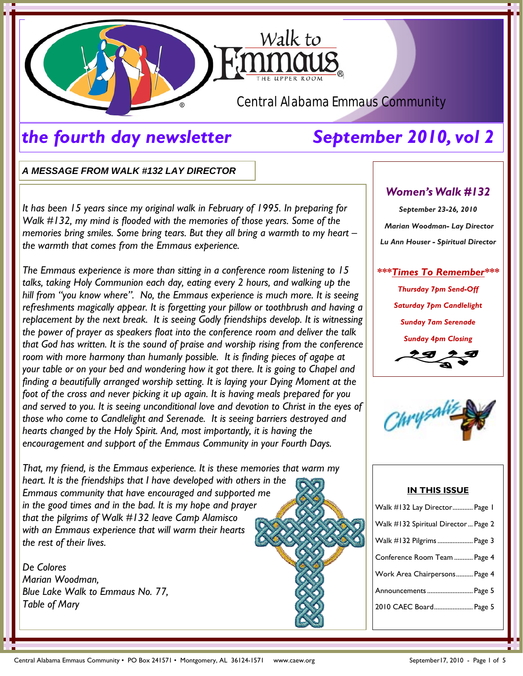

# *the fourth day newsletter September 2010, vol 2*

*A MESSAGE FROM WALK #132 LAY DIRECTOR* 

*It has been 15 years since my original walk in February of 1995. In preparing for Walk #132, my mind is flooded with the memories of those years. Some of the memories bring smiles. Some bring tears. But they all bring a warmth to my heart – the warmth that comes from the Emmaus experience.* 

*The Emmaus experience is more than sitting in a conference room listening to 15 talks, taking Holy Communion each day, eating every 2 hours, and walking up the hill from "you know where". No, the Emmaus experience is much more. It is seeing refreshments magically appear. It is forgetting your pillow or toothbrush and having a replacement by the next break. It is seeing Godly friendships develop. It is witnessing the power of prayer as speakers float into the conference room and deliver the talk that God has written. It is the sound of praise and worship rising from the conference*  room with more harmony than humanly possible. It is finding pieces of agape at *your table or on your bed and wondering how it got there. It is going to Chapel and finding a beautifully arranged worship setting. It is laying your Dying Moment at the foot of the cross and never picking it up again. It is having meals prepared for you and served to you. It is seeing unconditional love and devotion to Christ in the eyes of those who come to Candlelight and Serenade. It is seeing barriers destroyed and hearts changed by the Holy Spirit. And, most importantly, it is having the encouragement and support of the Emmaus Community in your Fourth Days.* 

*That, my friend, is the Emmaus experience. It is these memories that warm my heart. It is the friendships that I have developed with others in the Emmaus community that have encouraged and supported me in the good times and in the bad. It is my hope and prayer that the pilgrims of Walk #132 leave Camp Alamisco with an Emmaus experience that will warm their hearts the rest of their lives.* 

*De Colores Marian Woodman, Blue Lake Walk to Emmaus No. 77, Table of Mary* 

# *Women's Walk #132*

*September 23-26, 2010 Marian Woodman- Lay Director Lu Ann Houser - Spiritual Director* 

## *\*\*\*Times To Remember\*\*\**

*Thursday 7pm Send-Off Saturday 7pm Candlelight Sunday 7am Serenade Sunday 4pm Closing* 





### **IN THIS ISSUE**

| Walk #132 Lay Director Page 1       |
|-------------------------------------|
| Walk #132 Spiritual Director Page 2 |
| Walk #132 Pilgrims  Page 3          |
| Conference Room Team  Page 4        |
| Work Area Chairpersons Page 4       |
| Announcements  Page 5               |
| 2010 CAEC Board Page 5              |
|                                     |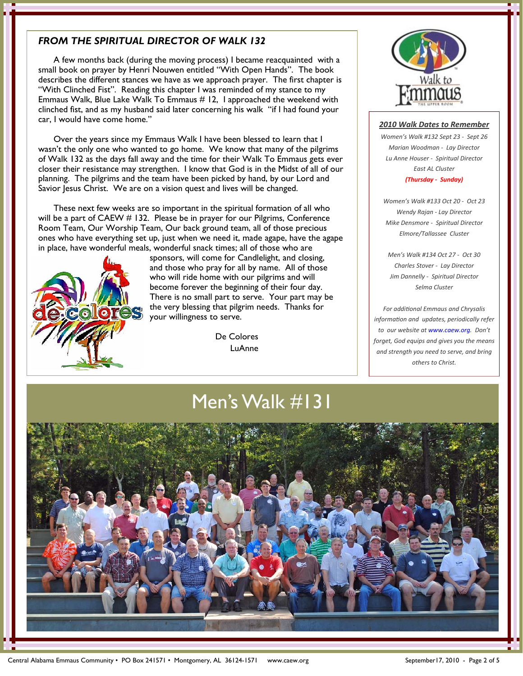## *FROM THE SPIRITUAL DIRECTOR OF WALK 132*

 A few months back (during the moving process) I became reacquainted with a small book on prayer by Henri Nouwen entitled "With Open Hands". The book describes the different stances we have as we approach prayer. The first chapter is "With Clinched Fist". Reading this chapter I was reminded of my stance to my Emmaus Walk, Blue Lake Walk To Emmaus # 12, I approached the weekend with clinched fist, and as my husband said later concerning his walk "if I had found your car, I would have come home."

 Over the years since my Emmaus Walk I have been blessed to learn that I wasn't the only one who wanted to go home. We know that many of the pilgrims of Walk 132 as the days fall away and the time for their Walk To Emmaus gets ever closer their resistance may strengthen. I know that God is in the Midst of all of our planning. The pilgrims and the team have been picked by hand, by our Lord and Savior Jesus Christ. We are on a vision quest and lives will be changed.

 These next few weeks are so important in the spiritual formation of all who will be a part of CAEW # 132. Please be in prayer for our Pilgrims, Conference Room Team, Our Worship Team, Our back ground team, all of those precious ones who have everything set up, just when we need it, made agape, have the agape in place, have wonderful meals, wonderful snack times; all of those who are



 sponsors, will come for Candlelight, and closing, and those who pray for all by name. All of those who will ride home with our pilgrims and will become forever the beginning of their four day. There is no small part to serve. Your part may be **the very blessing that pilgrim needs.** Thanks for your willingness to serve.

> De Colores LuAnne



### *2010 Walk Dates to Remember*

*Women's Walk #132 Sept 23 ‐ Sept 26 Marian Woodman ‐ Lay Director Lu Anne Houser ‐ Spiritual Director East AL Cluster (Thursday ‐ Sunday)*

*Women's Walk #133 Oct 20 ‐ Oct 23 Wendy Rajan ‐ Lay Director Mike Densmore ‐ Spiritual Director Elmore/Tallassee Cluster*

*Men's Walk #134 Oct 27 ‐ Oct 30 Charles Stover ‐ Lay Director Jim Dannelly ‐ Spiritual Director Selma Cluster*

*For addiƟonal Emmaus and Chrysalis informaƟon and updates, periodically refer to our website at www.caew.org. Don't forget, God equips and gives you the means and strength you need to serve, and bring others to Christ.* 

Men's Walk #131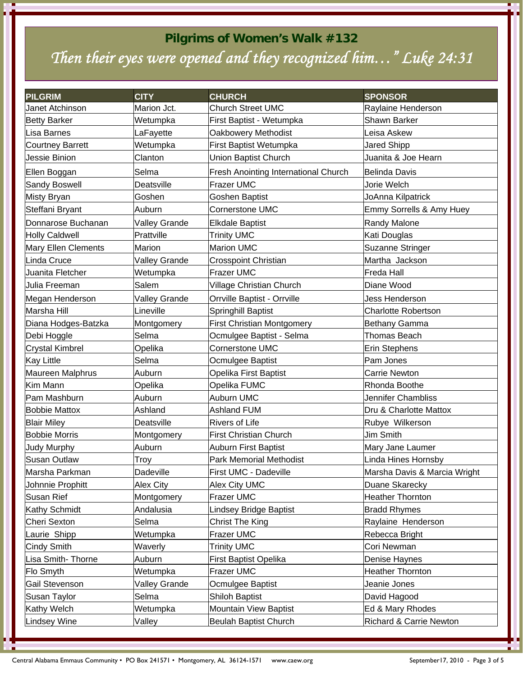# **Pilgrims of Women's Walk #132**  *Then their eyes were opened and they recognized him…" Luke 24:31*

| <b>PILGRIM</b>          | <b>CITY</b>          | <b>CHURCH</b>                        | <b>SPONSOR</b>               |
|-------------------------|----------------------|--------------------------------------|------------------------------|
| Janet Atchinson         | Marion Jct.          | <b>Church Street UMC</b>             | Raylaine Henderson           |
| <b>Betty Barker</b>     | Wetumpka             | First Baptist - Wetumpka             | Shawn Barker                 |
| Lisa Barnes             | LaFayette            | <b>Oakbowery Methodist</b>           | Leisa Askew                  |
| <b>Courtney Barrett</b> | Wetumpka             | First Baptist Wetumpka               | Jared Shipp                  |
| Jessie Binion           | Clanton              | <b>Union Baptist Church</b>          | Juanita & Joe Hearn          |
| Ellen Boggan            | Selma                | Fresh Anointing International Church | <b>Belinda Davis</b>         |
| Sandy Boswell           | Deatsville           | Frazer UMC                           | Jorie Welch                  |
| Misty Bryan             | Goshen               | <b>Goshen Baptist</b>                | JoAnna Kilpatrick            |
| Steffani Bryant         | Auburn               | <b>Cornerstone UMC</b>               | Emmy Sorrells & Amy Huey     |
| Donnarose Buchanan      | <b>Valley Grande</b> | <b>Elkdale Baptist</b>               | Randy Malone                 |
| <b>Holly Caldwell</b>   | Prattville           | <b>Trinity UMC</b>                   | Kati Douglas                 |
| Mary Ellen Clements     | Marion               | <b>Marion UMC</b>                    | <b>Suzanne Stringer</b>      |
| Linda Cruce             | <b>Valley Grande</b> | <b>Crosspoint Christian</b>          | Martha Jackson               |
| Juanita Fletcher        | Wetumpka             | Frazer UMC                           | <b>Freda Hall</b>            |
| Julia Freeman           | Salem                | Village Christian Church             | Diane Wood                   |
| Megan Henderson         | Valley Grande        | Orrville Baptist - Orrville          | Jess Henderson               |
| Marsha Hill             | Lineville            | Springhill Baptist                   | <b>Charlotte Robertson</b>   |
| Diana Hodges-Batzka     | Montgomery           | <b>First Christian Montgomery</b>    | Bethany Gamma                |
| Debi Hoggle             | Selma                | Ocmulgee Baptist - Selma             | Thomas Beach                 |
| <b>Crystal Kimbrel</b>  | Opelika              | Cornerstone UMC                      | Erin Stephens                |
| <b>Kay Little</b>       | Selma                | Ocmulgee Baptist                     | Pam Jones                    |
| Maureen Malphrus        | Auburn               | Opelika First Baptist                | <b>Carrie Newton</b>         |
| Kim Mann                | Opelika              | Opelika FUMC                         | Rhonda Boothe                |
| Pam Mashburn            | Auburn               | Auburn UMC                           | Jennifer Chambliss           |
| <b>Bobbie Mattox</b>    | Ashland              | <b>Ashland FUM</b>                   | Dru & Charlotte Mattox       |
| <b>Blair Miley</b>      | Deatsville           | <b>Rivers of Life</b>                | Rubye Wilkerson              |
| <b>Bobbie Morris</b>    | Montgomery           | <b>First Christian Church</b>        | Jim Smith                    |
| <b>Judy Murphy</b>      | Auburn               | <b>Auburn First Baptist</b>          | Mary Jane Laumer             |
| <b>Susan Outlaw</b>     | Troy                 | <b>Park Memorial Methodist</b>       | Linda Hines Hornsby          |
| Marsha Parkman          | Dadeville            | First UMC - Dadeville                | Marsha Davis & Marcia Wright |
| Johnnie Prophitt        | Alex City            | Alex City UMC                        | Duane Skarecky               |
| Susan Rief              | Montgomery           | Frazer UMC                           | <b>Heather Thornton</b>      |
| Kathy Schmidt           | Andalusia            | Lindsey Bridge Baptist               | <b>Bradd Rhymes</b>          |
| Cheri Sexton            | Selma                | <b>Christ The King</b>               | Raylaine Henderson           |
| Laurie Shipp            | Wetumpka             | Frazer UMC                           | Rebecca Bright               |
| <b>Cindy Smith</b>      | Waverly              | <b>Trinity UMC</b>                   | Cori Newman                  |
| Lisa Smith-Thorne       | Auburn               | First Baptist Opelika                | Denise Haynes                |
| Flo Smyth               | Wetumpka             | Frazer UMC                           | <b>Heather Thornton</b>      |
| Gail Stevenson          | Valley Grande        | Ocmulgee Baptist                     | Jeanie Jones                 |
| Susan Taylor            | Selma                | <b>Shiloh Baptist</b>                | David Hagood                 |
| Kathy Welch             | Wetumpka             | Mountain View Baptist                | Ed & Mary Rhodes             |
| Lindsey Wine            | Valley               | <b>Beulah Baptist Church</b>         | Richard & Carrie Newton      |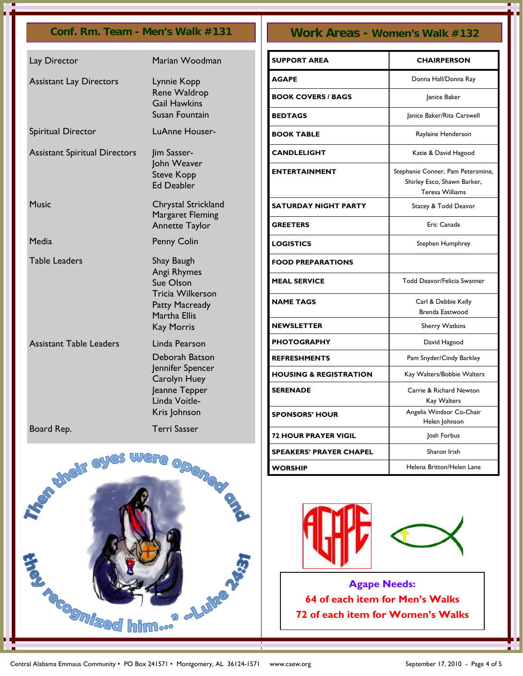| Lay Director                         | Marian Woodman                                                                                                                  |
|--------------------------------------|---------------------------------------------------------------------------------------------------------------------------------|
| <b>Assistant Lay Directors</b>       | Lynnie Kopp<br><b>Rene Waldrop</b><br><b>Gail Hawkins</b><br>Susan Fountain                                                     |
| Spiritual Director                   | LuAnne Houser-                                                                                                                  |
| <b>Assistant Spiritual Directors</b> | Jim Sasser-<br>John Weaver<br><b>Steve Kopp</b><br><b>Ed Deabler</b>                                                            |
| <b>Music</b>                         | Chrystal Strickland<br>Margaret Fleming<br><b>Annette Taylor</b>                                                                |
| Media                                | <b>Penny Colin</b>                                                                                                              |
| <b>Table Leaders</b>                 | Shay Baugh<br>Angi Rhymes<br>Sue Olson<br><b>Tricia Wilkerson</b><br><b>Patty Macready</b><br>Martha Ellis<br><b>Kay Morris</b> |
| <b>Assistant Table Leaders</b>       | Linda Pearson<br>Deborah Batson<br>Jennifer Spencer<br>Carolyn Huey<br>Jeanne Tepper<br>Linda Voitle-<br>Kris Johnson           |
| Board Rep.                           | <b>Terri Sasser</b>                                                                                                             |



# **Conf. Rm. Team - Men's Walk #131 Work Areas - Women's Walk #132**

| <b>SUPPORT AREA</b>               | <b>CHAIRPERSON</b>                                                                  |
|-----------------------------------|-------------------------------------------------------------------------------------|
| AGAPE                             | Donna Hall/Donna Ray                                                                |
| <b>BOOK COVERS / BAGS</b>         | Janice Baker                                                                        |
| <b>BEDTAGS</b>                    | Janice Baker/Rita Carswell                                                          |
| <b>BOOK TABLE</b>                 | Raylaine Henderson                                                                  |
| <b>CANDLELIGHT</b>                | Katie & David Hagood                                                                |
| <b>ENTERTAINMENT</b>              | Stephanie Conner, Pam Petersmine,<br>Shirley Esco, Shawn Barker,<br>Teresa Williams |
| <b>SATURDAY NIGHT PARTY</b>       | Stacey & Todd Deavor                                                                |
| <b>GREETERS</b>                   | Eric Canada                                                                         |
| <b>LOGISTICS</b>                  | Stephen Humphrey                                                                    |
| <b>FOOD PREPARATIONS</b>          |                                                                                     |
| <b>MEAL SERVICE</b>               | Todd Deavor/Felicia Swanner                                                         |
| <b>NAME TAGS</b>                  | Carl & Debbie Kelly<br>Brenda Eastwood                                              |
| <b>NEWSLETTER</b>                 | <b>Sherry Watkins</b>                                                               |
| <b>PHOTOGRAPHY</b>                | David Hagood                                                                        |
| <b>REFRESHMENTS</b>               | Pam Snyder/Cindy Barkley                                                            |
| <b>HOUSING &amp; REGISTRATION</b> | Kay Walters/Bobbie Walters                                                          |
| <b>SERENADE</b>                   | Carrie & Richard Newton<br>Kay Walters                                              |
| <b>SPONSORS' HOUR</b>             | Angelia Windsor Co-Chair<br>Helen Johnson                                           |
| <b>72 HOUR PRAYER VIGIL</b>       | Josh Forbus                                                                         |
| <b>SPEAKERS' PRAYER CHAPEL</b>    | Sharon Irish                                                                        |
| WORSHIP                           | Helena Britton/Helen Lane                                                           |





**Agape Needs: 64 of each item for Men's Walks 72 of each item for Women's Walks**